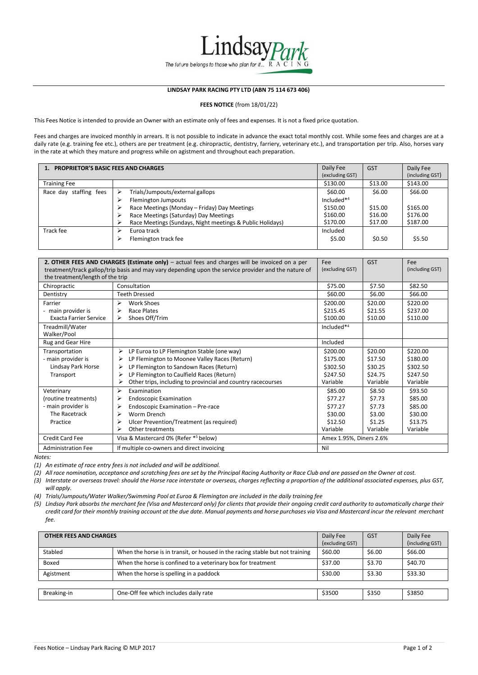

## **LINDSAY PARK RACING PTY LTD (ABN 75 114 673 406)**

**FEES NOTICE** (from 18/01/22)

This Fees Notice is intended to provide an Owner with an estimate only of fees and expenses. It is not a fixed price quotation.

Fees and charges are invoiced monthly in arrears. It is not possible to indicate in advance the exact total monthly cost. While some fees and charges are at a daily rate (e.g. training fee etc.), others are per treatment (e.g. chiropractic, dentistry, farriery, veterinary etc.), and transportation per trip. Also, horses vary in the rate at which they mature and progress while on agistment and throughout each preparation.

| 1. PROPRIETOR'S BASIC FEES AND CHARGES |                                                           |                 | <b>GST</b> | Daily Fee       |
|----------------------------------------|-----------------------------------------------------------|-----------------|------------|-----------------|
|                                        |                                                           | (excluding GST) |            | (including GST) |
| <b>Training Fee</b>                    |                                                           | \$130.00        | \$13.00    | \$143.00        |
| Race day staffing fees                 | Trials/Jumpouts/external gallops<br>➤                     | \$60.00         | \$6.00     | \$66.00         |
|                                        | Flemington Jumpouts<br>↘                                  | Included*4      |            |                 |
|                                        | Race Meetings (Monday - Friday) Day Meetings              | \$150.00        | \$15.00    | \$165.00        |
|                                        | Race Meetings (Saturday) Day Meetings                     | \$160.00        | \$16.00    | \$176.00        |
|                                        | Race Meetings (Sundays, Night meetings & Public Holidays) | \$170.00        | \$17.00    | \$187.00        |
| Track fee                              | Euroa track<br>↘                                          | Included        |            |                 |
|                                        | Flemington track fee<br>⋗                                 | \$5.00          | \$0.50     | \$5.50          |

|                                                     | 2. OTHER FEES AND CHARGES (Estimate only) – actual fees and charges will be invoiced on a per        | Fee                     | <b>GST</b>         | Fee                  |  |  |
|-----------------------------------------------------|------------------------------------------------------------------------------------------------------|-------------------------|--------------------|----------------------|--|--|
| the treatment/length of the trip                    | treatment/track gallop/trip basis and may vary depending upon the service provider and the nature of | (excluding GST)         |                    | (including GST)      |  |  |
| Chiropractic                                        | Consultation                                                                                         | \$75.00                 | \$7.50             | \$82.50              |  |  |
| Dentistry                                           | <b>Teeth Dressed</b>                                                                                 | \$60.00                 | \$6.00             | \$66.00              |  |  |
| Farrier                                             | ⋗<br><b>Work Shoes</b>                                                                               | \$200.00                | \$20.00            | \$220.00             |  |  |
| - main provider is<br><b>Exacta Farrier Service</b> | ⋗<br>Race Plates<br>Shoes Off/Trim<br>⋗                                                              | \$215.45<br>\$100.00    | \$21.55<br>\$10.00 | \$237.00<br>\$110.00 |  |  |
| Treadmill/Water<br>Walker/Pool                      |                                                                                                      | Included*4              |                    |                      |  |  |
| Rug and Gear Hire                                   |                                                                                                      | Included                |                    |                      |  |  |
| Transportation                                      | LP Euroa to LP Flemington Stable (one way)<br>⋗                                                      | \$200.00                | \$20.00            | \$220.00             |  |  |
| - main provider is                                  | LP Flemington to Moonee Valley Races (Return)<br>⋗                                                   | \$175.00                | \$17.50            | \$180.00             |  |  |
| Lindsay Park Horse                                  | LP Flemington to Sandown Races (Return)<br>⋗                                                         | \$302.50                | \$30.25            | \$302.50             |  |  |
| Transport                                           | LP Flemington to Caulfield Races (Return)<br>⋗                                                       | \$247.50                | \$24.75            | \$247.50             |  |  |
|                                                     | ⋗<br>Other trips, including to provincial and country racecourses                                    | Variable                | Variable           | Variable             |  |  |
| Veterinary                                          | ⋗<br>Examination                                                                                     | \$85.00                 | \$8.50             | \$93.50              |  |  |
| (routine treatments)                                | <b>Endoscopic Examination</b><br>⋗                                                                   | \$77.27                 | \$7.73             | \$85.00              |  |  |
| - main provider is                                  | Endoscopic Examination - Pre-race<br>⋗                                                               | \$77.27                 | \$7.73             | \$85.00              |  |  |
| The Racetrack                                       | Worm Drench<br>⋗                                                                                     | \$30.00                 | \$3.00             | \$30.00              |  |  |
| Practice                                            | Ulcer Prevention/Treatment (as required)<br>⋗                                                        | \$12.50                 | \$1.25             | \$13.75              |  |  |
|                                                     | ⋗<br>Other treatments                                                                                | Variable                | Variable           | Variable             |  |  |
| Credit Card Fee                                     | Visa & Mastercard 0% (Refer *5 below)                                                                | Amex 1.95%, Diners 2.6% |                    |                      |  |  |
| <b>Administration Fee</b>                           | If multiple co-owners and direct invoicing                                                           | Nil                     |                    |                      |  |  |

*Notes:*

*(1) An estimate of race entry fees is not included and will be additional.*

(2) All race nomination, acceptance and scratching fees are set by the Principal Racing Authority or Race Club and are passed on the Owner at cost.

(3) Interstate or overseas travel: should the Horse race interstate or overseas, charges reflecting a proportion of the additional associated expenses, plus GST, *will apply.*

*(4) Trials/Jumpouts/Water Walker/Swimming Pool at Euroa & Flemington are included in the daily training fee*

(5) Lindsay Park absorbs the merchant fee (Visa and Mastercard only) for clients that provide their ongoing credit card authority to automatically charge their credit card for their monthly training account at the due date. Manual payments and horse purchases via Visa and Mastercard incur the relevant merchant *fee.*

| <b>OTHER FEES AND CHARGES</b> |                                                                               |         | <b>GST</b> | Daily Fee<br>(including GST) |  |  |
|-------------------------------|-------------------------------------------------------------------------------|---------|------------|------------------------------|--|--|
| Stabled                       | When the horse is in transit, or housed in the racing stable but not training | \$60.00 | \$6.00     | \$66.00                      |  |  |
| Boxed                         | When the horse is confined to a veterinary box for treatment                  | \$37.00 | \$3.70     | \$40.70                      |  |  |
| Agistment                     | When the horse is spelling in a paddock                                       | \$30.00 | \$3.30     | \$33.30                      |  |  |
|                               |                                                                               |         |            |                              |  |  |
| Breaking-in                   | One-Off fee which includes daily rate                                         | \$3500  | \$350      | \$3850                       |  |  |